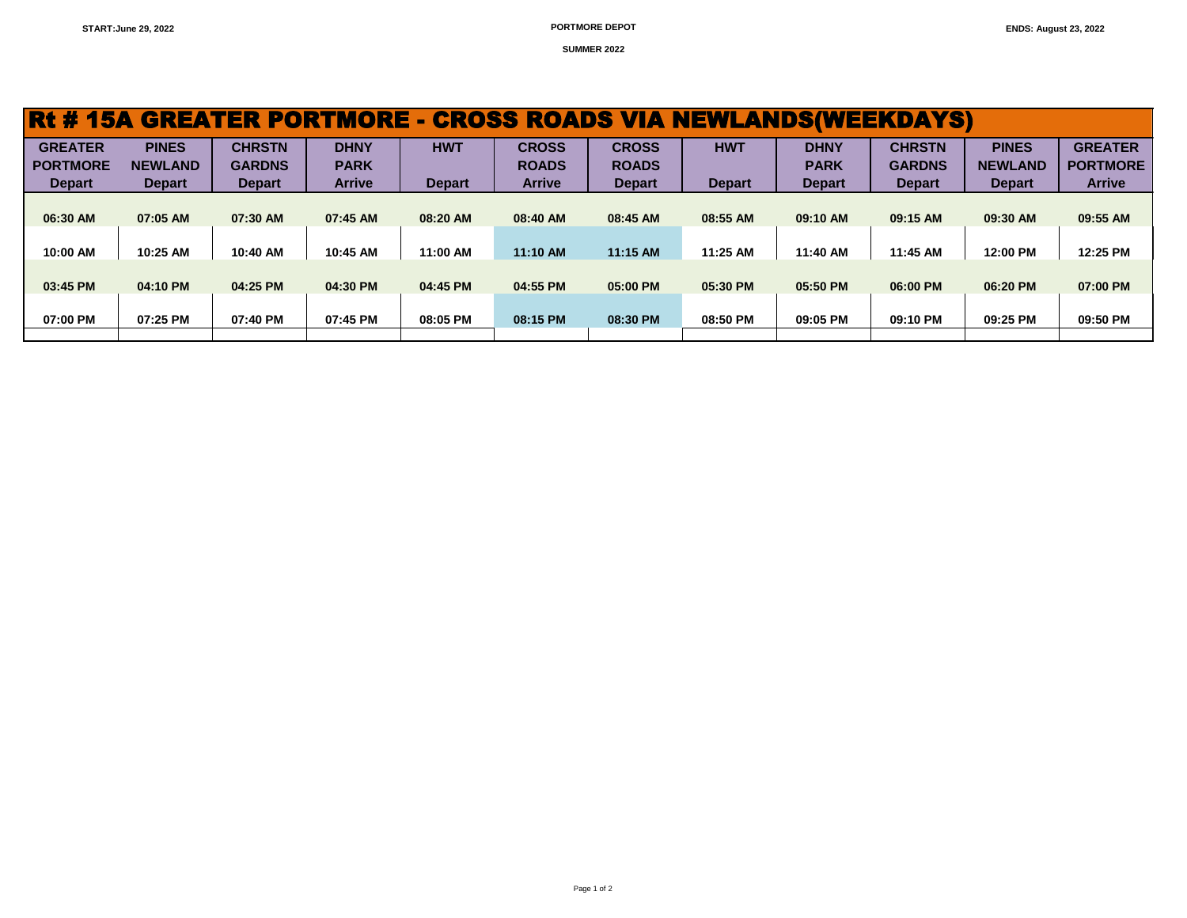**SUMMER 2022**

| Rt#             |                | <b>15A GREATER PORTMORE</b> |               | l — 1         | <b>CROSS ROADS VIA</b> |               | <b>NEWLANDS(WEEKDAYS)</b> |               |               |                |                 |
|-----------------|----------------|-----------------------------|---------------|---------------|------------------------|---------------|---------------------------|---------------|---------------|----------------|-----------------|
| <b>GREATER</b>  | <b>PINES</b>   | <b>CHRSTN</b>               | <b>DHNY</b>   | <b>HWT</b>    | <b>CROSS</b>           | <b>CROSS</b>  | <b>HWT</b>                | <b>DHNY</b>   | <b>CHRSTN</b> | <b>PINES</b>   | <b>GREATER</b>  |
| <b>PORTMORE</b> | <b>NEWLAND</b> | <b>GARDNS</b>               | <b>PARK</b>   |               | <b>ROADS</b>           | <b>ROADS</b>  |                           | <b>PARK</b>   | <b>GARDNS</b> | <b>NEWLAND</b> | <b>PORTMORE</b> |
| <b>Depart</b>   | <b>Depart</b>  | <b>Depart</b>               | <b>Arrive</b> | <b>Depart</b> | <b>Arrive</b>          | <b>Depart</b> | <b>Depart</b>             | <b>Depart</b> | <b>Depart</b> | <b>Depart</b>  | <b>Arrive</b>   |
|                 |                |                             |               |               |                        |               |                           |               |               |                |                 |
| 06:30 AM        | 07:05 AM       | 07:30 AM                    | 07:45 AM      | 08:20 AM      | 08:40 AM               | 08:45 AM      | 08:55 AM                  | 09:10 AM      | 09:15 AM      | 09:30 AM       | 09:55 AM        |
|                 |                |                             |               |               |                        |               |                           |               |               |                |                 |
| 10:00 AM        | 10:25 AM       | 10:40 AM                    | 10:45 AM      | 11:00 AM      | 11:10 AM               | 11:15 AM      | 11:25 AM                  | 11:40 AM      | 11:45 AM      | 12:00 PM       | 12:25 PM        |
|                 |                |                             |               |               |                        |               |                           |               |               |                |                 |
| 03:45 PM        | 04:10 PM       | 04:25 PM                    | 04:30 PM      | 04:45 PM      | 04:55 PM               | 05:00 PM      | 05:30 PM                  | 05:50 PM      | 06:00 PM      | 06:20 PM       | 07:00 PM        |
|                 |                |                             |               |               |                        |               |                           |               |               |                |                 |
| 07:00 PM        | 07:25 PM       | 07:40 PM                    | 07:45 PM      | 08:05 PM      | 08:15 PM               | 08:30 PM      | 08:50 PM                  | 09:05 PM      | 09:10 PM      | 09:25 PM       | 09:50 PM        |
|                 |                |                             |               |               |                        |               |                           |               |               |                |                 |